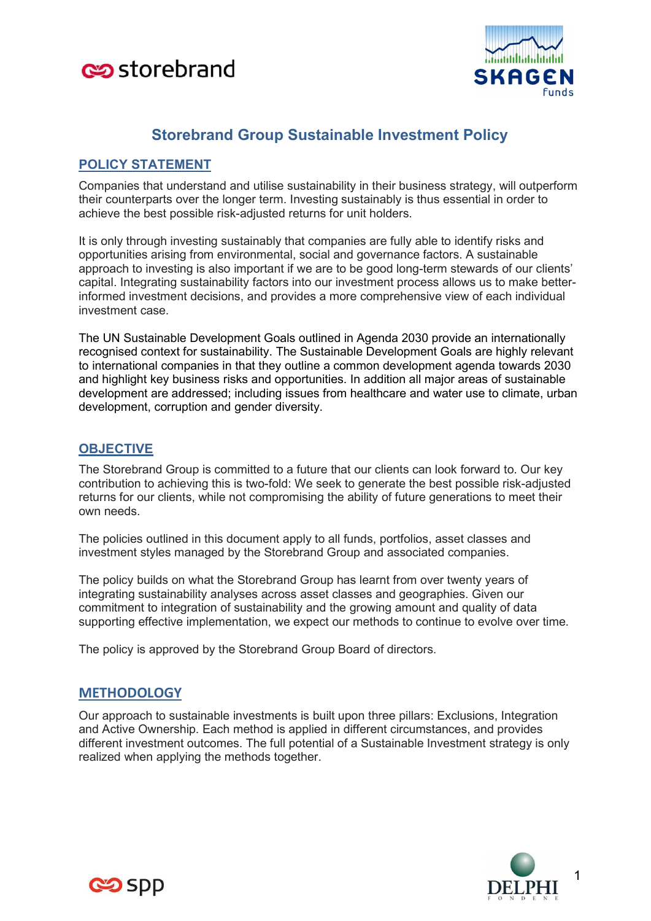



# Storebrand Group Sustainable Investment Policy

# POLICY STATEMENT

Companies that understand and utilise sustainability in their business strategy, will outperform their counterparts over the longer term. Investing sustainably is thus essential in order to achieve the best possible risk-adjusted returns for unit holders.

It is only through investing sustainably that companies are fully able to identify risks and opportunities arising from environmental, social and governance factors. A sustainable approach to investing is also important if we are to be good long-term stewards of our clients' capital. Integrating sustainability factors into our investment process allows us to make betterinformed investment decisions, and provides a more comprehensive view of each individual investment case.

The UN Sustainable Development Goals outlined in Agenda 2030 provide an internationally recognised context for sustainability. The Sustainable Development Goals are highly relevant to international companies in that they outline a common development agenda towards 2030 and highlight key business risks and opportunities. In addition all major areas of sustainable development are addressed; including issues from healthcare and water use to climate, urban development, corruption and gender diversity.

## **OBJECTIVE**

The Storebrand Group is committed to a future that our clients can look forward to. Our key contribution to achieving this is two-fold: We seek to generate the best possible risk-adjusted returns for our clients, while not compromising the ability of future generations to meet their own needs.

The policies outlined in this document apply to all funds, portfolios, asset classes and investment styles managed by the Storebrand Group and associated companies.

The policy builds on what the Storebrand Group has learnt from over twenty years of integrating sustainability analyses across asset classes and geographies. Given our commitment to integration of sustainability and the growing amount and quality of data supporting effective implementation, we expect our methods to continue to evolve over time.

The policy is approved by the Storebrand Group Board of directors.

## **METHODOLOGY**

Our approach to sustainable investments is built upon three pillars: Exclusions, Integration and Active Ownership. Each method is applied in different circumstances, and provides different investment outcomes. The full potential of a Sustainable Investment strategy is only realized when applying the methods together.



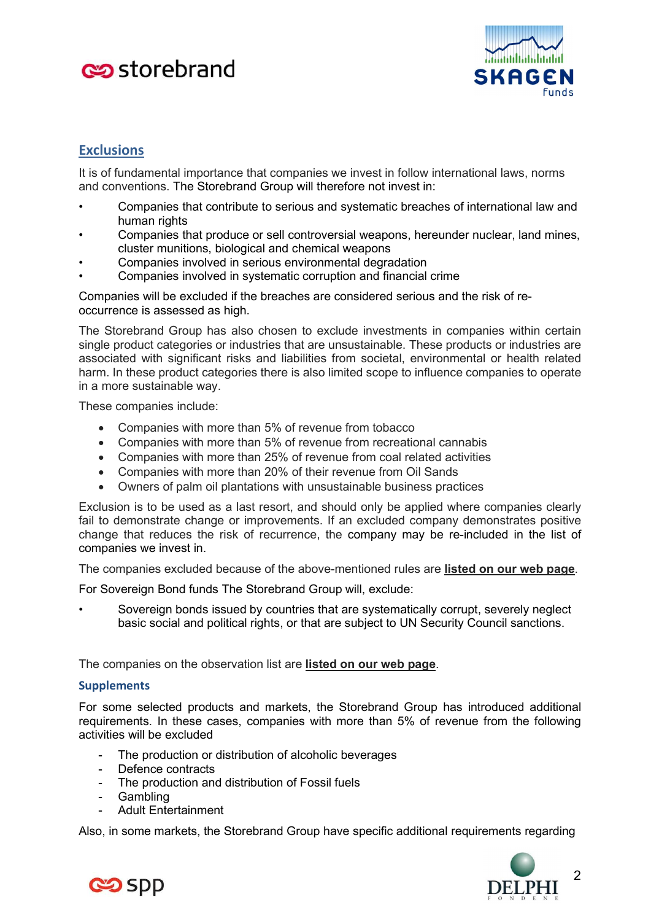# **Co** storebrand



# **Exclusions**

It is of fundamental importance that companies we invest in follow international laws, norms and conventions. The Storebrand Group will therefore not invest in:

- Companies that contribute to serious and systematic breaches of international law and human rights
- Companies that produce or sell controversial weapons, hereunder nuclear, land mines, cluster munitions, biological and chemical weapons
- Companies involved in serious environmental degradation
- Companies involved in systematic corruption and financial crime

Companies will be excluded if the breaches are considered serious and the risk of reoccurrence is assessed as high.

The Storebrand Group has also chosen to exclude investments in companies within certain single product categories or industries that are unsustainable. These products or industries are associated with significant risks and liabilities from societal, environmental or health related harm. In these product categories there is also limited scope to influence companies to operate in a more sustainable way.

These companies include:

- Companies with more than 5% of revenue from tobacco
- Companies with more than 5% of revenue from recreational cannabis
- Companies with more than 25% of revenue from coal related activities
- Companies with more than 20% of their revenue from Oil Sands
- Owners of palm oil plantations with unsustainable business practices

Exclusion is to be used as a last resort, and should only be applied where companies clearly fail to demonstrate change or improvements. If an excluded company demonstrates positive change that reduces the risk of recurrence, the company may be re-included in the list of companies we invest in.

The companies excluded because of the above-mentioned rules are listed on our web page.

For Sovereign Bond funds The Storebrand Group will, exclude:

Sovereign bonds issued by countries that are systematically corrupt, severely neglect basic social and political rights, or that are subject to UN Security Council sanctions.

The companies on the observation list are listed on our web page.

#### **Supplements**

For some selected products and markets, the Storebrand Group has introduced additional requirements. In these cases, companies with more than 5% of revenue from the following activities will be excluded

- The production or distribution of alcoholic beverages
- Defence contracts
- The production and distribution of Fossil fuels
- **Gambling**
- Adult Entertainment

Also, in some markets, the Storebrand Group have specific additional requirements regarding



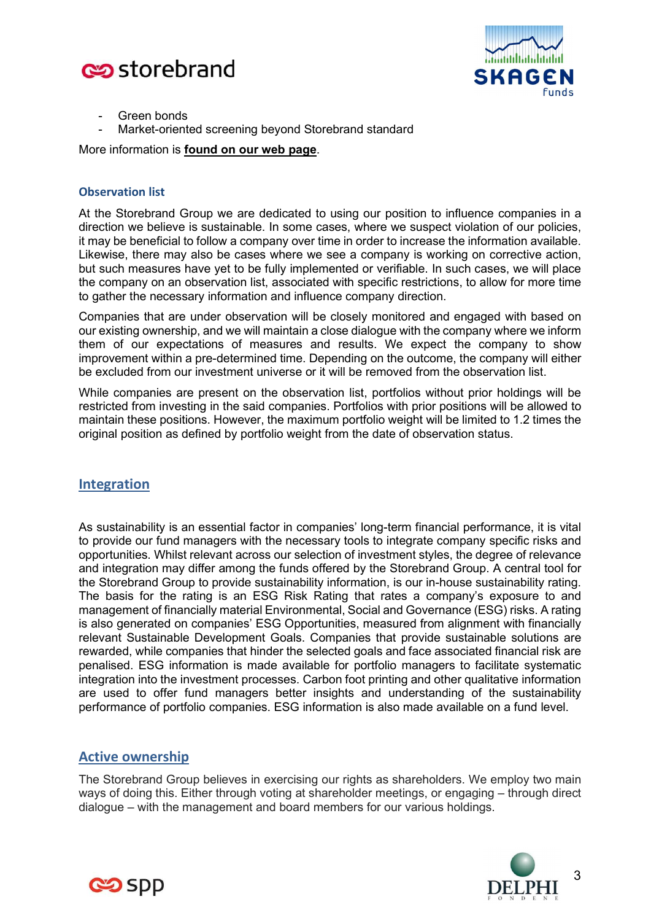



- Green bonds
- Market-oriented screening beyond Storebrand standard

More information is found on our web page.

#### Observation list

At the Storebrand Group we are dedicated to using our position to influence companies in a direction we believe is sustainable. In some cases, where we suspect violation of our policies, it may be beneficial to follow a company over time in order to increase the information available. Likewise, there may also be cases where we see a company is working on corrective action, but such measures have yet to be fully implemented or verifiable. In such cases, we will place the company on an observation list, associated with specific restrictions, to allow for more time to gather the necessary information and influence company direction.

Companies that are under observation will be closely monitored and engaged with based on our existing ownership, and we will maintain a close dialogue with the company where we inform them of our expectations of measures and results. We expect the company to show improvement within a pre-determined time. Depending on the outcome, the company will either be excluded from our investment universe or it will be removed from the observation list.

While companies are present on the observation list, portfolios without prior holdings will be restricted from investing in the said companies. Portfolios with prior positions will be allowed to maintain these positions. However, the maximum portfolio weight will be limited to 1.2 times the original position as defined by portfolio weight from the date of observation status.

## Integration

As sustainability is an essential factor in companies' long-term financial performance, it is vital to provide our fund managers with the necessary tools to integrate company specific risks and opportunities. Whilst relevant across our selection of investment styles, the degree of relevance and integration may differ among the funds offered by the Storebrand Group. A central tool for the Storebrand Group to provide sustainability information, is our in-house sustainability rating. The basis for the rating is an ESG Risk Rating that rates a company's exposure to and management of financially material Environmental, Social and Governance (ESG) risks. A rating is also generated on companies' ESG Opportunities, measured from alignment with financially relevant Sustainable Development Goals. Companies that provide sustainable solutions are rewarded, while companies that hinder the selected goals and face associated financial risk are penalised. ESG information is made available for portfolio managers to facilitate systematic integration into the investment processes. Carbon foot printing and other qualitative information are used to offer fund managers better insights and understanding of the sustainability performance of portfolio companies. ESG information is also made available on a fund level.

## Active ownership

The Storebrand Group believes in exercising our rights as shareholders. We employ two main ways of doing this. Either through voting at shareholder meetings, or engaging – through direct dialogue – with the management and board members for our various holdings.



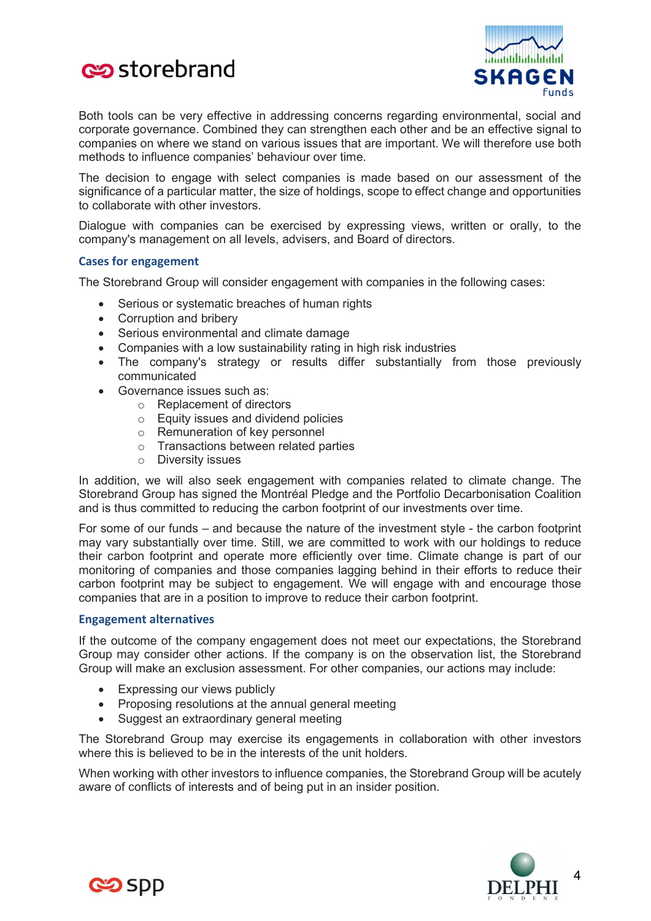



Both tools can be very effective in addressing concerns regarding environmental, social and corporate governance. Combined they can strengthen each other and be an effective signal to companies on where we stand on various issues that are important. We will therefore use both methods to influence companies' behaviour over time.

The decision to engage with select companies is made based on our assessment of the significance of a particular matter, the size of holdings, scope to effect change and opportunities to collaborate with other investors.

Dialogue with companies can be exercised by expressing views, written or orally, to the company's management on all levels, advisers, and Board of directors.

#### Cases for engagement

The Storebrand Group will consider engagement with companies in the following cases:

- Serious or systematic breaches of human rights
- Corruption and bribery
- Serious environmental and climate damage
- Companies with a low sustainability rating in high risk industries
- The company's strategy or results differ substantially from those previously communicated
- Governance issues such as:
	- o Replacement of directors
	- o Equity issues and dividend policies
	- o Remuneration of key personnel
	- o Transactions between related parties
	- o Diversity issues

In addition, we will also seek engagement with companies related to climate change. The Storebrand Group has signed the Montréal Pledge and the Portfolio Decarbonisation Coalition and is thus committed to reducing the carbon footprint of our investments over time.

For some of our funds – and because the nature of the investment style - the carbon footprint may vary substantially over time. Still, we are committed to work with our holdings to reduce their carbon footprint and operate more efficiently over time. Climate change is part of our monitoring of companies and those companies lagging behind in their efforts to reduce their carbon footprint may be subject to engagement. We will engage with and encourage those companies that are in a position to improve to reduce their carbon footprint.

#### Engagement alternatives

If the outcome of the company engagement does not meet our expectations, the Storebrand Group may consider other actions. If the company is on the observation list, the Storebrand Group will make an exclusion assessment. For other companies, our actions may include:

- Expressing our views publicly
- Proposing resolutions at the annual general meeting
- Suggest an extraordinary general meeting

The Storebrand Group may exercise its engagements in collaboration with other investors where this is believed to be in the interests of the unit holders.

When working with other investors to influence companies, the Storebrand Group will be acutely aware of conflicts of interests and of being put in an insider position.



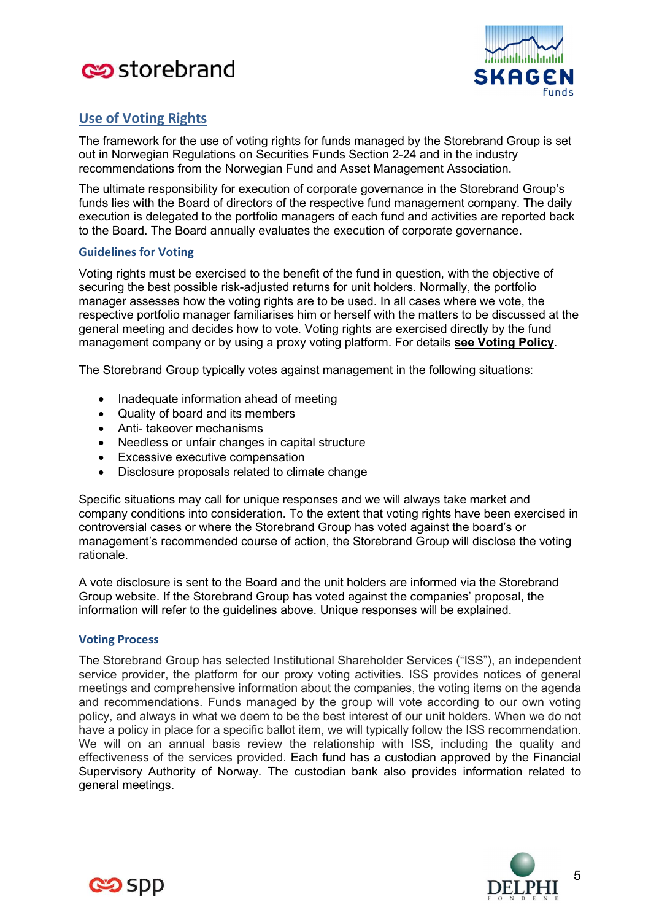



# Use of Voting Rights

The framework for the use of voting rights for funds managed by the Storebrand Group is set out in Norwegian Regulations on Securities Funds Section 2-24 and in the industry recommendations from the Norwegian Fund and Asset Management Association.

The ultimate responsibility for execution of corporate governance in the Storebrand Group's funds lies with the Board of directors of the respective fund management company. The daily execution is delegated to the portfolio managers of each fund and activities are reported back to the Board. The Board annually evaluates the execution of corporate governance.

#### Guidelines for Voting

Voting rights must be exercised to the benefit of the fund in question, with the objective of securing the best possible risk-adjusted returns for unit holders. Normally, the portfolio manager assesses how the voting rights are to be used. In all cases where we vote, the respective portfolio manager familiarises him or herself with the matters to be discussed at the general meeting and decides how to vote. Voting rights are exercised directly by the fund management company or by using a proxy voting platform. For details see Voting Policy.

The Storebrand Group typically votes against management in the following situations:

- Inadequate information ahead of meeting
- Quality of board and its members
- Anti- takeover mechanisms
- Needless or unfair changes in capital structure
- Excessive executive compensation
- Disclosure proposals related to climate change

Specific situations may call for unique responses and we will always take market and company conditions into consideration. To the extent that voting rights have been exercised in controversial cases or where the Storebrand Group has voted against the board's or management's recommended course of action, the Storebrand Group will disclose the voting rationale.

A vote disclosure is sent to the Board and the unit holders are informed via the Storebrand Group website. If the Storebrand Group has voted against the companies' proposal, the information will refer to the guidelines above. Unique responses will be explained.

#### Voting Process

The Storebrand Group has selected Institutional Shareholder Services ("ISS"), an independent service provider, the platform for our proxy voting activities. ISS provides notices of general meetings and comprehensive information about the companies, the voting items on the agenda and recommendations. Funds managed by the group will vote according to our own voting policy, and always in what we deem to be the best interest of our unit holders. When we do not have a policy in place for a specific ballot item, we will typically follow the ISS recommendation. We will on an annual basis review the relationship with ISS, including the quality and effectiveness of the services provided. Each fund has a custodian approved by the Financial Supervisory Authority of Norway. The custodian bank also provides information related to general meetings.



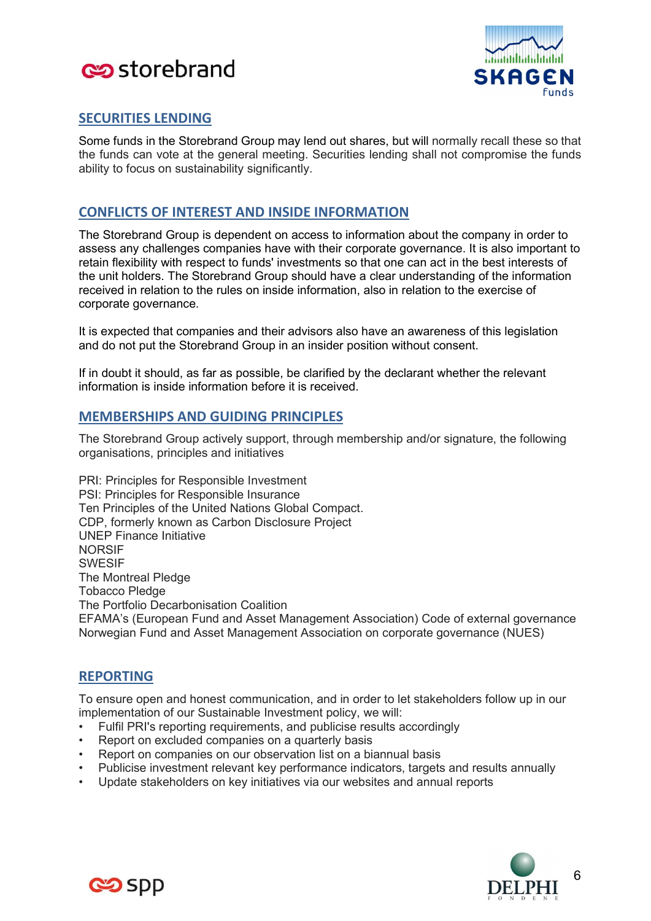



# SECURITIES LENDING

Some funds in the Storebrand Group may lend out shares, but will normally recall these so that the funds can vote at the general meeting. Securities lending shall not compromise the funds ability to focus on sustainability significantly.

# CONFLICTS OF INTEREST AND INSIDE INFORMATION

The Storebrand Group is dependent on access to information about the company in order to assess any challenges companies have with their corporate governance. It is also important to retain flexibility with respect to funds' investments so that one can act in the best interests of the unit holders. The Storebrand Group should have a clear understanding of the information received in relation to the rules on inside information, also in relation to the exercise of corporate governance.

It is expected that companies and their advisors also have an awareness of this legislation and do not put the Storebrand Group in an insider position without consent.

If in doubt it should, as far as possible, be clarified by the declarant whether the relevant information is inside information before it is received.

# MEMBERSHIPS AND GUIDING PRINCIPLES

The Storebrand Group actively support, through membership and/or signature, the following organisations, principles and initiatives

PRI: Principles for Responsible Investment PSI: Principles for Responsible Insurance Ten Principles of the United Nations Global Compact. CDP, formerly known as Carbon Disclosure Project UNEP Finance Initiative NORSIF SWESIF The Montreal Pledge Tobacco Pledge The Portfolio Decarbonisation Coalition EFAMA's (European Fund and Asset Management Association) Code of external governance Norwegian Fund and Asset Management Association on corporate governance (NUES)

# REPORTING

To ensure open and honest communication, and in order to let stakeholders follow up in our implementation of our Sustainable Investment policy, we will:

- Fulfil PRI's reporting requirements, and publicise results accordingly
- Report on excluded companies on a quarterly basis
- Report on companies on our observation list on a biannual basis
- Publicise investment relevant key performance indicators, targets and results annually
- Update stakeholders on key initiatives via our websites and annual reports